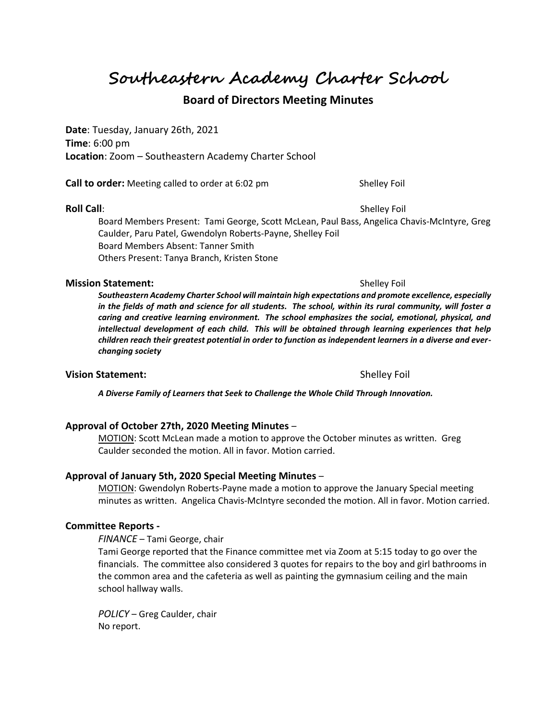**Southeastern Academy Charter School**

# **Board of Directors Meeting Minutes**

**Date**: Tuesday, January 26th, 2021 **Time**: 6:00 pm **Location**: Zoom – Southeastern Academy Charter School

**Call to order:** Meeting called to order at 6:02 pm Shelley Foil

**Roll Call**: Shelley Foil

Board Members Present: Tami George, Scott McLean, Paul Bass, Angelica Chavis-McIntyre, Greg Caulder, Paru Patel, Gwendolyn Roberts-Payne, Shelley Foil Board Members Absent: Tanner Smith Others Present: Tanya Branch, Kristen Stone

#### **Mission Statement:**  $\qquad \qquad$  Shelley Foil

*Southeastern Academy Charter School will maintain high expectations and promote excellence, especially in the fields of math and science for all students. The school, within its rural community, will foster a caring and creative learning environment. The school emphasizes the social, emotional, physical, and intellectual development of each child. This will be obtained through learning experiences that help children reach their greatest potential in order to function as independent learners in a diverse and everchanging society*

#### **Vision Statement:**  $\qquad \qquad$  Shelley Foil

*A Diverse Family of Learners that Seek to Challenge the Whole Child Through Innovation.*

### **Approval of October 27th, 2020 Meeting Minutes** –

MOTION: Scott McLean made a motion to approve the October minutes as written. Greg Caulder seconded the motion. All in favor. Motion carried.

### **Approval of January 5th, 2020 Special Meeting Minutes** –

MOTION: Gwendolyn Roberts-Payne made a motion to approve the January Special meeting minutes as written. Angelica Chavis-McIntyre seconded the motion. All in favor. Motion carried.

### **Committee Reports -**

*FINANCE* – Tami George, chair

Tami George reported that the Finance committee met via Zoom at 5:15 today to go over the financials. The committee also considered 3 quotes for repairs to the boy and girl bathrooms in the common area and the cafeteria as well as painting the gymnasium ceiling and the main school hallway walls.

*POLICY* – Greg Caulder, chair No report.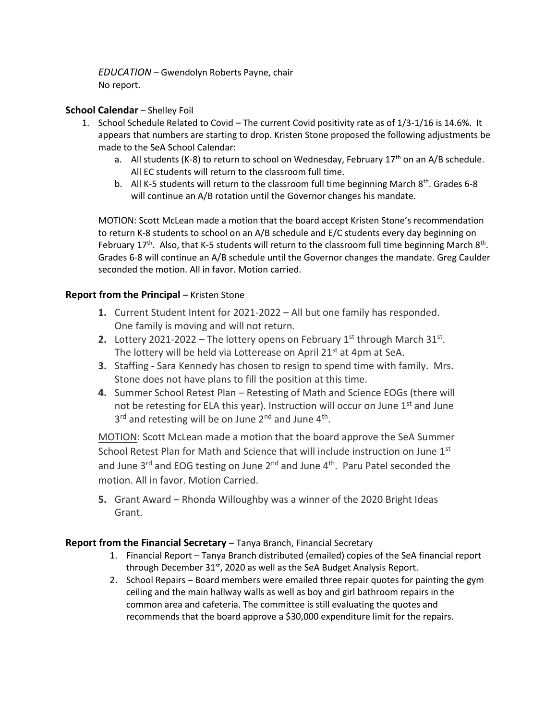*EDUCATION* – Gwendolyn Roberts Payne, chair No report.

## **School Calendar** – Shelley Foil

- 1. School Schedule Related to Covid The current Covid positivity rate as of 1/3-1/16 is 14.6%. It appears that numbers are starting to drop. Kristen Stone proposed the following adjustments be made to the SeA School Calendar:
	- a. All students (K-8) to return to school on Wednesday, February  $17<sup>th</sup>$  on an A/B schedule. All EC students will return to the classroom full time.
	- b. All K-5 students will return to the classroom full time beginning March  $8<sup>th</sup>$ . Grades 6-8 will continue an A/B rotation until the Governor changes his mandate.

MOTION: Scott McLean made a motion that the board accept Kristen Stone's recommendation to return K-8 students to school on an A/B schedule and E/C students every day beginning on February 17<sup>th</sup>. Also, that K-5 students will return to the classroom full time beginning March 8<sup>th</sup>. Grades 6-8 will continue an A/B schedule until the Governor changes the mandate. Greg Caulder seconded the motion. All in favor. Motion carried.

## **Report from the Principal - Kristen Stone**

- **1.** Current Student Intent for 2021-2022 All but one family has responded. One family is moving and will not return.
- **2.** Lottery 2021-2022 The lottery opens on February  $1^{st}$  through March  $31^{st}$ . The lottery will be held via Lotterease on April  $21<sup>st</sup>$  at 4pm at SeA.
- **3.** Staffing Sara Kennedy has chosen to resign to spend time with family. Mrs. Stone does not have plans to fill the position at this time.
- **4.** Summer School Retest Plan Retesting of Math and Science EOGs (there will not be retesting for ELA this year). Instruction will occur on June  $1<sup>st</sup>$  and June 3<sup>rd</sup> and retesting will be on June 2<sup>nd</sup> and June 4<sup>th</sup>.

MOTION: Scott McLean made a motion that the board approve the SeA Summer School Retest Plan for Math and Science that will include instruction on June 1st and June 3<sup>rd</sup> and EOG testing on June 2<sup>nd</sup> and June 4<sup>th</sup>. Paru Patel seconded the motion. All in favor. Motion Carried.

**5.** Grant Award – Rhonda Willoughby was a winner of the 2020 Bright Ideas Grant.

## **Report from the Financial Secretary** – Tanya Branch, Financial Secretary

- 1. Financial Report Tanya Branch distributed (emailed) copies of the SeA financial report through December 31<sup>st</sup>, 2020 as well as the SeA Budget Analysis Report.
- 2. School Repairs Board members were emailed three repair quotes for painting the gym ceiling and the main hallway walls as well as boy and girl bathroom repairs in the common area and cafeteria. The committee is still evaluating the quotes and recommends that the board approve a \$30,000 expenditure limit for the repairs.